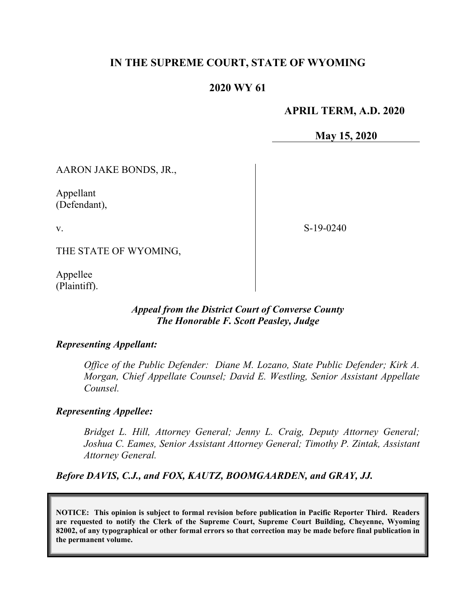# **IN THE SUPREME COURT, STATE OF WYOMING**

## **2020 WY 61**

### **APRIL TERM, A.D. 2020**

**May 15, 2020**

AARON JAKE BONDS, JR.,

Appellant (Defendant),

v.

S-19-0240

THE STATE OF WYOMING,

Appellee (Plaintiff).

### *Appeal from the District Court of Converse County The Honorable F. Scott Peasley, Judge*

#### *Representing Appellant:*

*Office of the Public Defender: Diane M. Lozano, State Public Defender; Kirk A. Morgan, Chief Appellate Counsel; David E. Westling, Senior Assistant Appellate Counsel.*

#### *Representing Appellee:*

*Bridget L. Hill, Attorney General; Jenny L. Craig, Deputy Attorney General; Joshua C. Eames, Senior Assistant Attorney General; Timothy P. Zintak, Assistant Attorney General.*

*Before DAVIS, C.J., and FOX, KAUTZ, BOOMGAARDEN, and GRAY, JJ.*

**NOTICE: This opinion is subject to formal revision before publication in Pacific Reporter Third. Readers are requested to notify the Clerk of the Supreme Court, Supreme Court Building, Cheyenne, Wyoming 82002, of any typographical or other formal errors so that correction may be made before final publication in the permanent volume.**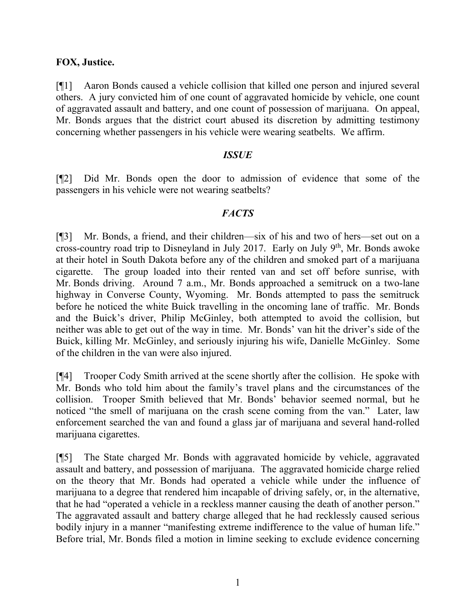### **FOX, Justice.**

[¶1] Aaron Bonds caused a vehicle collision that killed one person and injured several others. A jury convicted him of one count of aggravated homicide by vehicle, one count of aggravated assault and battery, and one count of possession of marijuana. On appeal, Mr. Bonds argues that the district court abused its discretion by admitting testimony concerning whether passengers in his vehicle were wearing seatbelts. We affirm.

#### *ISSUE*

[¶2] Did Mr. Bonds open the door to admission of evidence that some of the passengers in his vehicle were not wearing seatbelts?

## *FACTS*

[¶3] Mr. Bonds, a friend, and their children—six of his and two of hers—set out on a cross-country road trip to Disneyland in July 2017. Early on July 9th, Mr. Bonds awoke at their hotel in South Dakota before any of the children and smoked part of a marijuana cigarette. The group loaded into their rented van and set off before sunrise, with Mr. Bonds driving. Around 7 a.m., Mr. Bonds approached a semitruck on a two-lane highway in Converse County, Wyoming. Mr. Bonds attempted to pass the semitruck before he noticed the white Buick travelling in the oncoming lane of traffic. Mr. Bonds and the Buick's driver, Philip McGinley, both attempted to avoid the collision, but neither was able to get out of the way in time. Mr. Bonds' van hit the driver's side of the Buick, killing Mr. McGinley, and seriously injuring his wife, Danielle McGinley. Some of the children in the van were also injured.

[¶4] Trooper Cody Smith arrived at the scene shortly after the collision. He spoke with Mr. Bonds who told him about the family's travel plans and the circumstances of the collision. Trooper Smith believed that Mr. Bonds' behavior seemed normal, but he noticed "the smell of marijuana on the crash scene coming from the van." Later, law enforcement searched the van and found a glass jar of marijuana and several hand-rolled marijuana cigarettes.

[¶5] The State charged Mr. Bonds with aggravated homicide by vehicle, aggravated assault and battery, and possession of marijuana. The aggravated homicide charge relied on the theory that Mr. Bonds had operated a vehicle while under the influence of marijuana to a degree that rendered him incapable of driving safely, or, in the alternative, that he had "operated a vehicle in a reckless manner causing the death of another person." The aggravated assault and battery charge alleged that he had recklessly caused serious bodily injury in a manner "manifesting extreme indifference to the value of human life." Before trial, Mr. Bonds filed a motion in limine seeking to exclude evidence concerning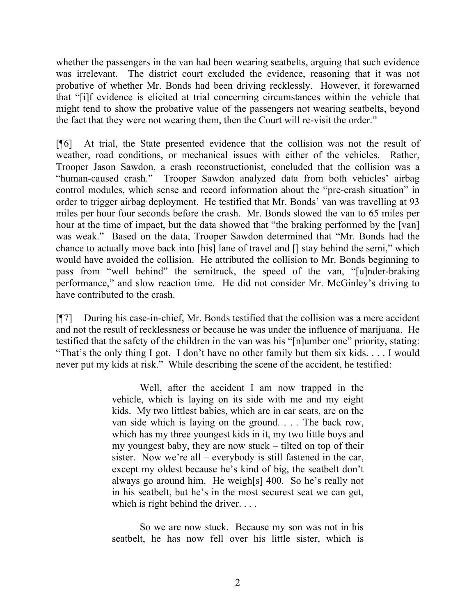whether the passengers in the van had been wearing seatbelts, arguing that such evidence was irrelevant. The district court excluded the evidence, reasoning that it was not probative of whether Mr. Bonds had been driving recklessly. However, it forewarned that "[i]f evidence is elicited at trial concerning circumstances within the vehicle that might tend to show the probative value of the passengers not wearing seatbelts, beyond the fact that they were not wearing them, then the Court will re-visit the order."

[¶6] At trial, the State presented evidence that the collision was not the result of weather, road conditions, or mechanical issues with either of the vehicles. Rather, Trooper Jason Sawdon, a crash reconstructionist, concluded that the collision was a "human-caused crash." Trooper Sawdon analyzed data from both vehicles' airbag control modules, which sense and record information about the "pre-crash situation" in order to trigger airbag deployment. He testified that Mr. Bonds' van was travelling at 93 miles per hour four seconds before the crash. Mr. Bonds slowed the van to 65 miles per hour at the time of impact, but the data showed that "the braking performed by the [van] was weak." Based on the data, Trooper Sawdon determined that "Mr. Bonds had the chance to actually move back into [his] lane of travel and [] stay behind the semi," which would have avoided the collision. He attributed the collision to Mr. Bonds beginning to pass from "well behind" the semitruck, the speed of the van, "[u]nder-braking performance," and slow reaction time. He did not consider Mr. McGinley's driving to have contributed to the crash.

[¶7] During his case-in-chief, Mr. Bonds testified that the collision was a mere accident and not the result of recklessness or because he was under the influence of marijuana. He testified that the safety of the children in the van was his "[n]umber one" priority, stating: "That's the only thing I got. I don't have no other family but them six kids. . . . I would never put my kids at risk." While describing the scene of the accident, he testified:

> Well, after the accident I am now trapped in the vehicle, which is laying on its side with me and my eight kids. My two littlest babies, which are in car seats, are on the van side which is laying on the ground. . . . The back row, which has my three youngest kids in it, my two little boys and my youngest baby, they are now stuck – tilted on top of their sister. Now we're all – everybody is still fastened in the car, except my oldest because he's kind of big, the seatbelt don't always go around him. He weigh[s] 400. So he's really not in his seatbelt, but he's in the most securest seat we can get, which is right behind the driver. . . .

> So we are now stuck. Because my son was not in his seatbelt, he has now fell over his little sister, which is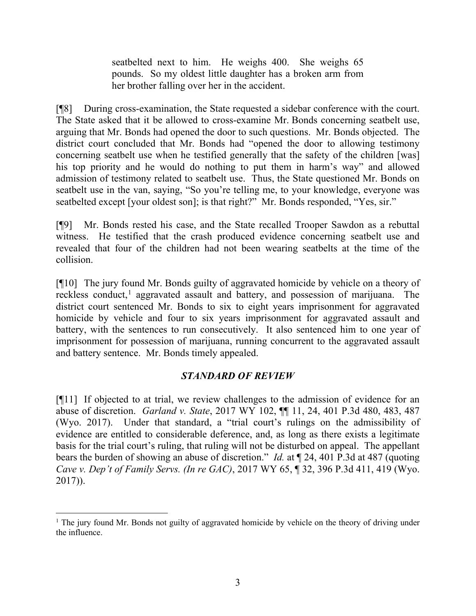seatbelted next to him. He weighs 400. She weighs 65 pounds. So my oldest little daughter has a broken arm from her brother falling over her in the accident.

[¶8] During cross-examination, the State requested a sidebar conference with the court. The State asked that it be allowed to cross-examine Mr. Bonds concerning seatbelt use, arguing that Mr. Bonds had opened the door to such questions. Mr. Bonds objected. The district court concluded that Mr. Bonds had "opened the door to allowing testimony concerning seatbelt use when he testified generally that the safety of the children [was] his top priority and he would do nothing to put them in harm's way" and allowed admission of testimony related to seatbelt use. Thus, the State questioned Mr. Bonds on seatbelt use in the van, saying, "So you're telling me, to your knowledge, everyone was seatbelted except [your oldest son]; is that right?" Mr. Bonds responded, "Yes, sir."

[¶9] Mr. Bonds rested his case, and the State recalled Trooper Sawdon as a rebuttal witness. He testified that the crash produced evidence concerning seatbelt use and revealed that four of the children had not been wearing seatbelts at the time of the collision.

[¶10] The jury found Mr. Bonds guilty of aggravated homicide by vehicle on a theory of reckless conduct,<sup>[1](#page-3-0)</sup> aggravated assault and battery, and possession of marijuana. The district court sentenced Mr. Bonds to six to eight years imprisonment for aggravated homicide by vehicle and four to six years imprisonment for aggravated assault and battery, with the sentences to run consecutively. It also sentenced him to one year of imprisonment for possession of marijuana, running concurrent to the aggravated assault and battery sentence. Mr. Bonds timely appealed.

# *STANDARD OF REVIEW*

[¶11] If objected to at trial, we review challenges to the admission of evidence for an abuse of discretion. *Garland v. State*, 2017 WY 102, ¶¶ 11, 24, 401 P.3d 480, 483, 487 (Wyo. 2017). Under that standard, a "trial court's rulings on the admissibility of evidence are entitled to considerable deference, and, as long as there exists a legitimate basis for the trial court's ruling, that ruling will not be disturbed on appeal. The appellant bears the burden of showing an abuse of discretion." *Id.* at ¶ 24, 401 P.3d at 487 (quoting *Cave v. Dep't of Family Servs. (In re GAC)*, 2017 WY 65, ¶ 32, 396 P.3d 411, 419 (Wyo. 2017)).

<span id="page-3-0"></span><sup>&</sup>lt;sup>1</sup> The jury found Mr. Bonds not guilty of aggravated homicide by vehicle on the theory of driving under the influence.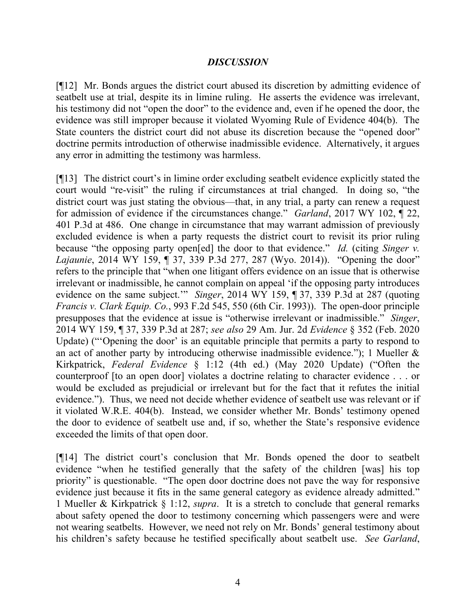#### *DISCUSSION*

[¶12] Mr. Bonds argues the district court abused its discretion by admitting evidence of seatbelt use at trial, despite its in limine ruling. He asserts the evidence was irrelevant, his testimony did not "open the door" to the evidence and, even if he opened the door, the evidence was still improper because it violated Wyoming Rule of Evidence 404(b). The State counters the district court did not abuse its discretion because the "opened door" doctrine permits introduction of otherwise inadmissible evidence. Alternatively, it argues any error in admitting the testimony was harmless.

[¶13] The district court's in limine order excluding seatbelt evidence explicitly stated the court would "re-visit" the ruling if circumstances at trial changed. In doing so, "the district court was just stating the obvious—that, in any trial, a party can renew a request for admission of evidence if the circumstances change." *Garland*, 2017 WY 102, ¶ 22, 401 P.3d at 486. One change in circumstance that may warrant admission of previously excluded evidence is when a party requests the district court to revisit its prior ruling because "the opposing party open[ed] the door to that evidence." *Id.* (citing *Singer v. Lajaunie*, 2014 WY 159, ¶ 37, 339 P.3d 277, 287 (Wyo. 2014)). "Opening the door" refers to the principle that "when one litigant offers evidence on an issue that is otherwise irrelevant or inadmissible, he cannot complain on appeal 'if the opposing party introduces evidence on the same subject.'" *Singer*, 2014 WY 159, ¶ 37, 339 P.3d at 287 (quoting *Francis v. Clark Equip. Co.*, 993 F.2d 545, 550 (6th Cir. 1993)). The open-door principle presupposes that the evidence at issue is "otherwise irrelevant or inadmissible." *Singer*, 2014 WY 159, ¶ 37, 339 P.3d at 287; *see also* 29 Am. Jur. 2d *Evidence* § 352 (Feb. 2020 Update) ("'Opening the door' is an equitable principle that permits a party to respond to an act of another party by introducing otherwise inadmissible evidence."); 1 Mueller & Kirkpatrick, *Federal Evidence* § 1:12 (4th ed.) (May 2020 Update) ("Often the counterproof [to an open door] violates a doctrine relating to character evidence . . . or would be excluded as prejudicial or irrelevant but for the fact that it refutes the initial evidence.").Thus, we need not decide whether evidence of seatbelt use was relevant or if it violated W.R.E. 404(b). Instead, we consider whether Mr. Bonds' testimony opened the door to evidence of seatbelt use and, if so, whether the State's responsive evidence exceeded the limits of that open door.

[¶14] The district court's conclusion that Mr. Bonds opened the door to seatbelt evidence "when he testified generally that the safety of the children [was] his top priority" is questionable. "The open door doctrine does not pave the way for responsive evidence just because it fits in the same general category as evidence already admitted." 1 Mueller & Kirkpatrick § 1:12, *supra*. It is a stretch to conclude that general remarks about safety opened the door to testimony concerning which passengers were and were not wearing seatbelts. However, we need not rely on Mr. Bonds' general testimony about his children's safety because he testified specifically about seatbelt use. *See Garland*,